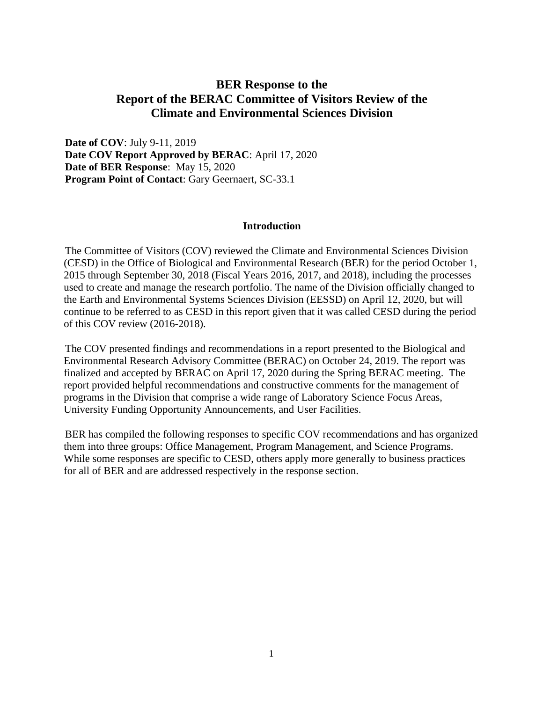## **BER Response to the Report of the BERAC Committee of Visitors Review of the Climate and Environmental Sciences Division**

**Date of COV**: July 9-11, 2019 **Date COV Report Approved by BERAC**: April 17, 2020 **Date of BER Response**: May 15, 2020 **Program Point of Contact**: Gary Geernaert, SC-33.1

## **Introduction**

The Committee of Visitors (COV) reviewed the Climate and Environmental Sciences Division (CESD) in the Office of Biological and Environmental Research (BER) for the period October 1, 2015 through September 30, 2018 (Fiscal Years 2016, 2017, and 2018), including the processes used to create and manage the research portfolio. The name of the Division officially changed to the Earth and Environmental Systems Sciences Division (EESSD) on April 12, 2020, but will continue to be referred to as CESD in this report given that it was called CESD during the period of this COV review (2016-2018).

The COV presented findings and recommendations in a report presented to the Biological and Environmental Research Advisory Committee (BERAC) on October 24, 2019. The report was finalized and accepted by BERAC on April 17, 2020 during the Spring BERAC meeting. The report provided helpful recommendations and constructive comments for the management of programs in the Division that comprise a wide range of Laboratory Science Focus Areas, University Funding Opportunity Announcements, and User Facilities.

BER has compiled the following responses to specific COV recommendations and has organized them into three groups: Office Management, Program Management, and Science Programs. While some responses are specific to CESD, others apply more generally to business practices for all of BER and are addressed respectively in the response section.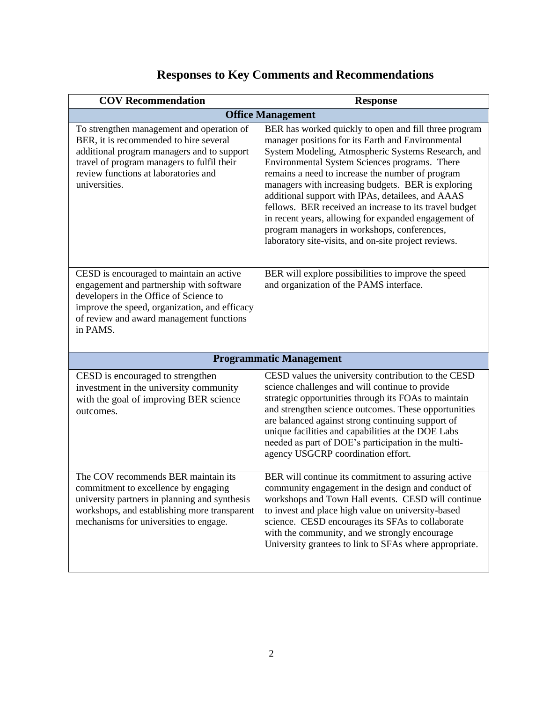| <b>COV Recommendation</b>                                                                                                                                                                                                                | <b>Response</b>                                                                                                                                                                                                                                                                                                                                                                                                                                                                                                                                                                                           |  |
|------------------------------------------------------------------------------------------------------------------------------------------------------------------------------------------------------------------------------------------|-----------------------------------------------------------------------------------------------------------------------------------------------------------------------------------------------------------------------------------------------------------------------------------------------------------------------------------------------------------------------------------------------------------------------------------------------------------------------------------------------------------------------------------------------------------------------------------------------------------|--|
| <b>Office Management</b>                                                                                                                                                                                                                 |                                                                                                                                                                                                                                                                                                                                                                                                                                                                                                                                                                                                           |  |
| To strengthen management and operation of<br>BER, it is recommended to hire several<br>additional program managers and to support<br>travel of program managers to fulfil their<br>review functions at laboratories and<br>universities. | BER has worked quickly to open and fill three program<br>manager positions for its Earth and Environmental<br>System Modeling, Atmospheric Systems Research, and<br>Environmental System Sciences programs. There<br>remains a need to increase the number of program<br>managers with increasing budgets. BER is exploring<br>additional support with IPAs, detailees, and AAAS<br>fellows. BER received an increase to its travel budget<br>in recent years, allowing for expanded engagement of<br>program managers in workshops, conferences,<br>laboratory site-visits, and on-site project reviews. |  |
| CESD is encouraged to maintain an active<br>engagement and partnership with software<br>developers in the Office of Science to<br>improve the speed, organization, and efficacy<br>of review and award management functions<br>in PAMS.  | BER will explore possibilities to improve the speed<br>and organization of the PAMS interface.                                                                                                                                                                                                                                                                                                                                                                                                                                                                                                            |  |
| <b>Programmatic Management</b>                                                                                                                                                                                                           |                                                                                                                                                                                                                                                                                                                                                                                                                                                                                                                                                                                                           |  |
| CESD is encouraged to strengthen<br>investment in the university community<br>with the goal of improving BER science<br>outcomes.                                                                                                        | CESD values the university contribution to the CESD<br>science challenges and will continue to provide<br>strategic opportunities through its FOAs to maintain<br>and strengthen science outcomes. These opportunities<br>are balanced against strong continuing support of<br>unique facilities and capabilities at the DOE Labs<br>needed as part of DOE's participation in the multi-<br>agency USGCRP coordination effort.                                                                                                                                                                            |  |
| The COV recommends BER maintain its<br>commitment to excellence by engaging<br>university partners in planning and synthesis<br>workshops, and establishing more transparent<br>mechanisms for universities to engage.                   | BER will continue its commitment to assuring active<br>community engagement in the design and conduct of<br>workshops and Town Hall events. CESD will continue<br>to invest and place high value on university-based<br>science. CESD encourages its SFAs to collaborate<br>with the community, and we strongly encourage<br>University grantees to link to SFAs where appropriate.                                                                                                                                                                                                                       |  |

## **Responses to Key Comments and Recommendations**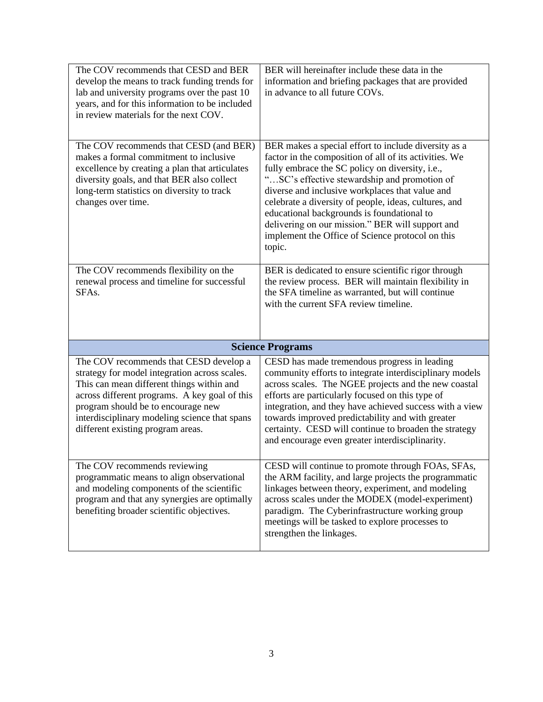| The COV recommends that CESD and BER<br>develop the means to track funding trends for<br>lab and university programs over the past 10<br>years, and for this information to be included<br>in review materials for the next COV.                                                                                  | BER will hereinafter include these data in the<br>information and briefing packages that are provided<br>in advance to all future COVs.                                                                                                                                                                                                                                                                                                                                                       |  |
|-------------------------------------------------------------------------------------------------------------------------------------------------------------------------------------------------------------------------------------------------------------------------------------------------------------------|-----------------------------------------------------------------------------------------------------------------------------------------------------------------------------------------------------------------------------------------------------------------------------------------------------------------------------------------------------------------------------------------------------------------------------------------------------------------------------------------------|--|
| The COV recommends that CESD (and BER)<br>makes a formal commitment to inclusive<br>excellence by creating a plan that articulates<br>diversity goals, and that BER also collect<br>long-term statistics on diversity to track<br>changes over time.                                                              | BER makes a special effort to include diversity as a<br>factor in the composition of all of its activities. We<br>fully embrace the SC policy on diversity, i.e.,<br>"SC's effective stewardship and promotion of<br>diverse and inclusive workplaces that value and<br>celebrate a diversity of people, ideas, cultures, and<br>educational backgrounds is foundational to<br>delivering on our mission." BER will support and<br>implement the Office of Science protocol on this<br>topic. |  |
| The COV recommends flexibility on the<br>renewal process and timeline for successful<br>SFA <sub>s</sub> .                                                                                                                                                                                                        | BER is dedicated to ensure scientific rigor through<br>the review process. BER will maintain flexibility in<br>the SFA timeline as warranted, but will continue<br>with the current SFA review timeline.                                                                                                                                                                                                                                                                                      |  |
| <b>Science Programs</b>                                                                                                                                                                                                                                                                                           |                                                                                                                                                                                                                                                                                                                                                                                                                                                                                               |  |
| The COV recommends that CESD develop a<br>strategy for model integration across scales.<br>This can mean different things within and<br>across different programs. A key goal of this<br>program should be to encourage new<br>interdisciplinary modeling science that spans<br>different existing program areas. | CESD has made tremendous progress in leading<br>community efforts to integrate interdisciplinary models<br>across scales. The NGEE projects and the new coastal<br>efforts are particularly focused on this type of<br>integration, and they have achieved success with a view<br>towards improved predictability and with greater<br>certainty. CESD will continue to broaden the strategy<br>and encourage even greater interdisciplinarity.                                                |  |
| The COV recommends reviewing<br>programmatic means to align observational<br>and modeling components of the scientific<br>program and that any synergies are optimally<br>benefiting broader scientific objectives.                                                                                               | CESD will continue to promote through FOAs, SFAs,<br>the ARM facility, and large projects the programmatic<br>linkages between theory, experiment, and modeling<br>across scales under the MODEX (model-experiment)<br>paradigm. The Cyberinfrastructure working group<br>meetings will be tasked to explore processes to<br>strengthen the linkages.                                                                                                                                         |  |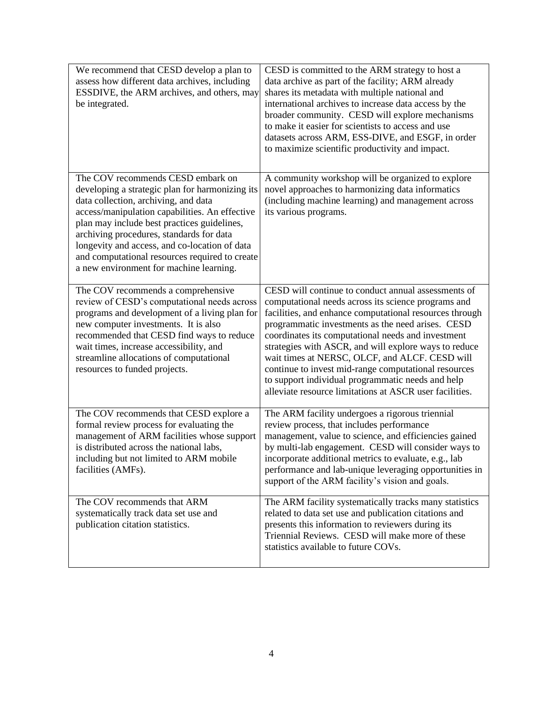| We recommend that CESD develop a plan to<br>assess how different data archives, including<br>ESSDIVE, the ARM archives, and others, may<br>be integrated.                                                                                                                                                                                                                                                               | CESD is committed to the ARM strategy to host a<br>data archive as part of the facility; ARM already<br>shares its metadata with multiple national and<br>international archives to increase data access by the<br>broader community. CESD will explore mechanisms<br>to make it easier for scientists to access and use<br>datasets across ARM, ESS-DIVE, and ESGF, in order<br>to maximize scientific productivity and impact.                                                                                                                                    |
|-------------------------------------------------------------------------------------------------------------------------------------------------------------------------------------------------------------------------------------------------------------------------------------------------------------------------------------------------------------------------------------------------------------------------|---------------------------------------------------------------------------------------------------------------------------------------------------------------------------------------------------------------------------------------------------------------------------------------------------------------------------------------------------------------------------------------------------------------------------------------------------------------------------------------------------------------------------------------------------------------------|
| The COV recommends CESD embark on<br>developing a strategic plan for harmonizing its<br>data collection, archiving, and data<br>access/manipulation capabilities. An effective<br>plan may include best practices guidelines,<br>archiving procedures, standards for data<br>longevity and access, and co-location of data<br>and computational resources required to create<br>a new environment for machine learning. | A community workshop will be organized to explore<br>novel approaches to harmonizing data informatics<br>(including machine learning) and management across<br>its various programs.                                                                                                                                                                                                                                                                                                                                                                                |
| The COV recommends a comprehensive<br>review of CESD's computational needs across<br>programs and development of a living plan for<br>new computer investments. It is also<br>recommended that CESD find ways to reduce<br>wait times, increase accessibility, and<br>streamline allocations of computational<br>resources to funded projects.                                                                          | CESD will continue to conduct annual assessments of<br>computational needs across its science programs and<br>facilities, and enhance computational resources through<br>programmatic investments as the need arises. CESD<br>coordinates its computational needs and investment<br>strategies with ASCR, and will explore ways to reduce<br>wait times at NERSC, OLCF, and ALCF. CESD will<br>continue to invest mid-range computational resources<br>to support individual programmatic needs and help<br>alleviate resource limitations at ASCR user facilities. |
| The COV recommends that CESD explore a<br>formal review process for evaluating the<br>management of ARM facilities whose support<br>is distributed across the national labs,<br>including but not limited to ARM mobile<br>facilities (AMFs).                                                                                                                                                                           | The ARM facility undergoes a rigorous triennial<br>review process, that includes performance<br>management, value to science, and efficiencies gained<br>by multi-lab engagement. CESD will consider ways to<br>incorporate additional metrics to evaluate, e.g., lab<br>performance and lab-unique leveraging opportunities in<br>support of the ARM facility's vision and goals.                                                                                                                                                                                  |
| The COV recommends that ARM<br>systematically track data set use and<br>publication citation statistics.                                                                                                                                                                                                                                                                                                                | The ARM facility systematically tracks many statistics<br>related to data set use and publication citations and<br>presents this information to reviewers during its<br>Triennial Reviews. CESD will make more of these<br>statistics available to future COVs.                                                                                                                                                                                                                                                                                                     |